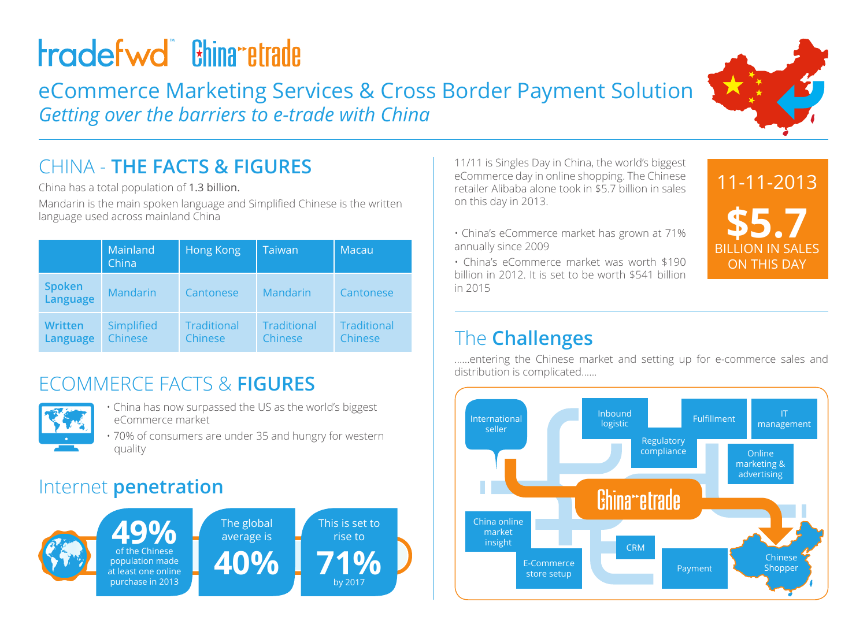# **Fradefwd Bhina etrade**

#### eCommerce Marketing Services & Cross Border Payment Solution *Getting over the barriers to e-trade with China*



11-11-2013

**\$5.7** BILLION IN SALES ON THIS DAY

#### CHINA - **THE FACTS & FIGURES**

China has a total population of 1.3 billion.

Mandarin is the main spoken language and Simplified Chinese is the written language used across mainland China

|                           | Mainland<br>China     | Hong Kong                            | Taiwan                        | Macau                         |
|---------------------------|-----------------------|--------------------------------------|-------------------------------|-------------------------------|
| <b>Spoken</b><br>Language | <b>Mandarin</b>       | <b>Cantonese</b>                     | <b>Mandarin</b>               | Cantonese                     |
| Written<br>Language       | Simplified<br>Chinese | <b>Traditional</b><br><b>Chinese</b> | <b>Traditional</b><br>Chinese | <b>Traditional</b><br>Chinese |

#### ECOMMERCE FACTS & **FIGURES**



- China has now surpassed the US as the world's biggest eCommerce market
- 70% of consumers are under 35 and hungry for western quality

#### Internet **penetration**



11/11 is Singles Day in China, the world's biggest eCommerce day in online shopping. The Chinese retailer Alibaba alone took in \$5.7 billion in sales on this day in 2013.

- China's eCommerce market has grown at 71% annually since 2009
- China's eCommerce market was worth \$190 billion in 2012. It is set to be worth \$541 billion in 2015

#### The **Challenges**

......entering the Chinese market and setting up for e-commerce sales and distribution is complicated......